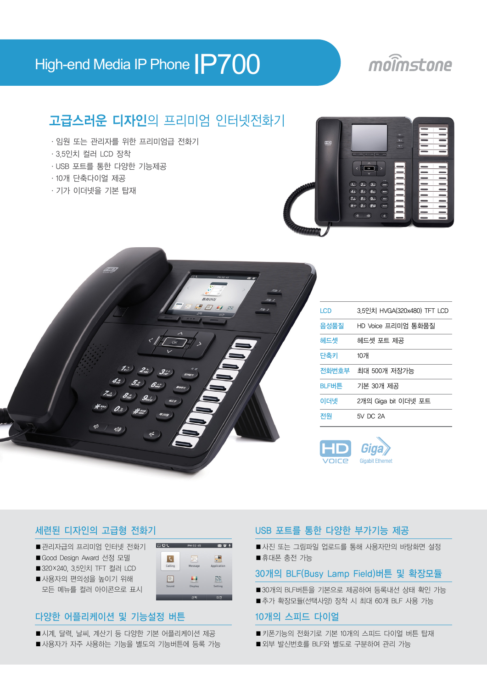## High-end Media IP Phone **IP700**

## moimstone

### 고급스러운 디자인의 프리미엄 인터넷전화기

- ·임원 또는 관리자를 위한 프리미엄급 전화기
- ·3.5인치 컬러 LCD 장착
- ·USB 포트를 통한 다양한 기능제공
- ·10개 단축다이얼 제공
- ·기가 이더넷을 기본 탑재





| <b>LCD</b> | 3.5인치 HVGA(320x480) TFT LCD |
|------------|-----------------------------|
| 음성품질       | HD Voice 프리미엄 통화품질          |
| 헤드셋        | 헤드셋 포트 제공                   |
| 단축키        | 10개                         |
|            | 전화번호부 최대 500개 저장가능          |
| BLF버튼      | 기본 30개 제공                   |
| 이더넷        | 2개의 Giga bit 이더넷 포트         |
| 전원         | 5V DC 2A                    |



### 세련된 디자인의 고급형 전화기

- 관리자급의 프리미엄 인터넷 전화기
- Good Design Award 선정 모델
- 320×240, 3.5인치 TFT 컬러 LCD
- 사용자의 편의성을 높이기 위해 모든 메뉴를 컬러 아이콘으로 표시

### $1204$ **FOL**  $\frac{1}{18}$  $|c|$ Calling  $\mathbb{R}^d$

### 다양한 어플리케이션 및 기능설정 버튼

- 시계, 달력, 날씨, 계산기 등 다양한 기본 어플리케이션 제공
- 사용자가 자주 사용하는 기능을 별도의 기능버튼에 등록 가능

### USB 포트를 통한 다양한 부가기능 제공

■ 사진 또는 그림파일 업로드를 통해 사용자만의 바탕화면 설정 ■ 휴대폰 충전 가능

### 30개의 BLF(Busy Lamp Field)버튼 및 확장모듈

- 30개의 BLF버튼을 기본으로 제공하여 등록내선 상태 확인 가능
- 추가 확장모듈(선택사양) 장착 시 최대 60개 BLF 사용 가능

### 10개의 스피드 다이얼

- 키폰기능의 전화기로 기본 10개의 스피드 다이얼 버튼 탑재
- 외부 발신번호를 BLF와 별도로 구분하여 관리 가능